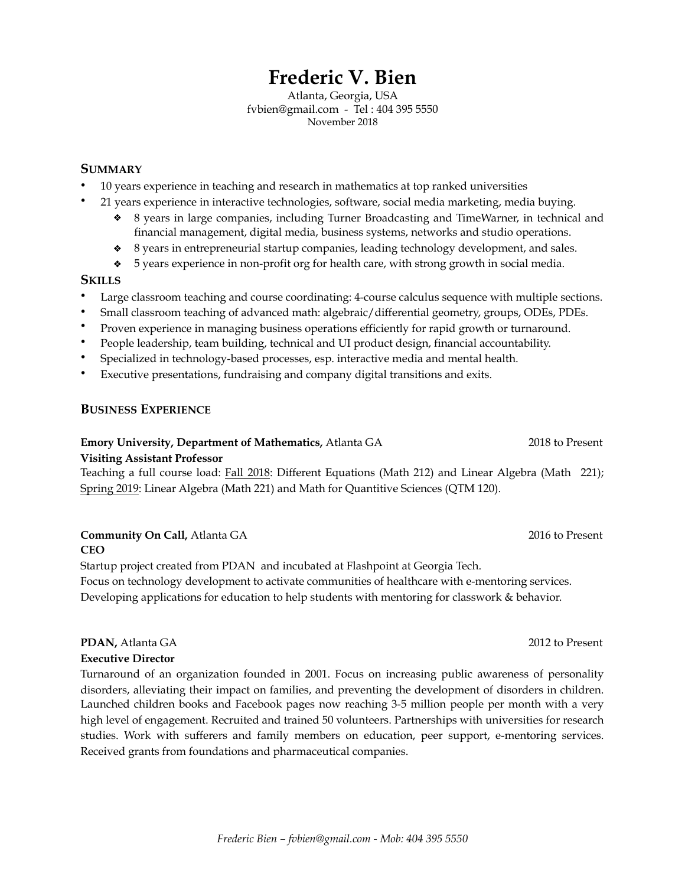# **Frederic V. Bien**

Atlanta, Georgia, USA fvbien@gmail.com - Tel : 404 395 5550 November 2018

#### **SUMMARY**

- 10 years experience in teaching and research in mathematics at top ranked universities
	- 21 years experience in interactive technologies, software, social media marketing, media buying. ÷. 8 years in large companies, including Turner Broadcasting and TimeWarner, in technical and
		- financial management, digital media, business systems, networks and studio operations.
		- 8 years in entrepreneurial startup companies, leading technology development, and sales. ❖
		- 5 years experience in non-profit org for health care, with strong growth in social media. ❖

#### **SKILLS**

- Large classroom teaching and course coordinating: 4-course calculus sequence with multiple sections.
- Small classroom teaching of advanced math: algebraic/differential geometry, groups, ODEs, PDEs.
- Proven experience in managing business operations efficiently for rapid growth or turnaround.
- People leadership, team building, technical and UI product design, financial accountability.
- Specialized in technology-based processes, esp. interactive media and mental health.
- Executive presentations, fundraising and company digital transitions and exits.

#### **BUSINESS EXPERIENCE**

#### **Emory University, Department of Mathematics,** Atlanta GA 2018 to Present

**Visiting Assistant Professor**

Teaching a full course load: Fall 2018: Different Equations (Math 212) and Linear Algebra (Math 221); Spring 2019: Linear Algebra (Math 221) and Math for Quantitive Sciences (QTM 120).

### **Community On Call, Atlanta GA** 2016 to Present

**CEO**

Startup project created from PDAN and incubated at Flashpoint at Georgia Tech. Focus on technology development to activate communities of healthcare with e-mentoring services. Developing applications for education to help students with mentoring for classwork & behavior.

## **PDAN,** Atlanta GA 2012 to Present

#### **Executive Director**

Turnaround of an organization founded in 2001. Focus on increasing public awareness of personality disorders, alleviating their impact on families, and preventing the development of disorders in children. Launched children books and Facebook pages now reaching 3-5 million people per month with a very high level of engagement. Recruited and trained 50 volunteers. Partnerships with universities for research studies. Work with sufferers and family members on education, peer support, e-mentoring services. Received grants from foundations and pharmaceutical companies.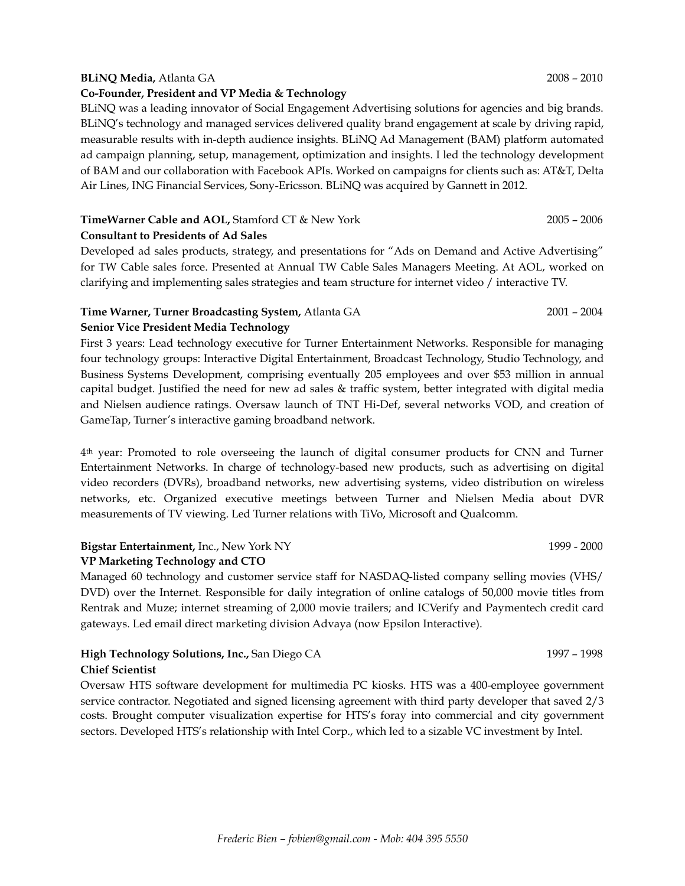#### **BLiNQ Media,** Atlanta GA 2008 – 2010

#### **Co-Founder, President and VP Media & Technology**

BLiNQ was a leading innovator of Social Engagement Advertising solutions for agencies and big brands. BLiNQ's technology and managed services delivered quality brand engagement at scale by driving rapid, measurable results with in-depth audience insights. BLiNQ Ad Management (BAM) platform automated ad campaign planning, setup, management, optimization and insights. I led the technology development of BAM and our collaboration with Facebook APIs. Worked on campaigns for clients such as: AT&T, Delta Air Lines, ING Financial Services, Sony-Ericsson. BLiNQ was acquired by Gannett in 2012.

#### **TimeWarner Cable and AOL,** Stamford CT & New York 2005 – 2006 2005 – 2006

**Consultant to Presidents of Ad Sales** 

Developed ad sales products, strategy, and presentations for "Ads on Demand and Active Advertising" for TW Cable sales force. Presented at Annual TW Cable Sales Managers Meeting. At AOL, worked on clarifying and implementing sales strategies and team structure for internet video / interactive TV.

#### **Time Warner, Turner Broadcasting System, Atlanta GA** 2001 – 2004 2001 – 2004

#### **Senior Vice President Media Technology**

First 3 years: Lead technology executive for Turner Entertainment Networks. Responsible for managing four technology groups: Interactive Digital Entertainment, Broadcast Technology, Studio Technology, and Business Systems Development, comprising eventually 205 employees and over \$53 million in annual capital budget. Justified the need for new ad sales & traffic system, better integrated with digital media and Nielsen audience ratings. Oversaw launch of TNT Hi-Def, several networks VOD, and creation of GameTap, Turner's interactive gaming broadband network.

4th year: Promoted to role overseeing the launch of digital consumer products for CNN and Turner Entertainment Networks. In charge of technology-based new products, such as advertising on digital video recorders (DVRs), broadband networks, new advertising systems, video distribution on wireless networks, etc. Organized executive meetings between Turner and Nielsen Media about DVR measurements of TV viewing. Led Turner relations with TiVo, Microsoft and Qualcomm.

#### **Bigstar Entertainment, Inc., New York NY** 1999 - 2000 **VP Marketing Technology and CTO**

Managed 60 technology and customer service staff for NASDAQ-listed company selling movies (VHS/ DVD) over the Internet. Responsible for daily integration of online catalogs of 50,000 movie titles from Rentrak and Muze; internet streaming of 2,000 movie trailers; and ICVerify and Paymentech credit card gateways. Led email direct marketing division Advaya (now Epsilon Interactive).

#### **High Technology Solutions, Inc., San Diego CA** 1997 – 1998 **Chief Scientist**

Oversaw HTS software development for multimedia PC kiosks. HTS was a 400-employee government service contractor. Negotiated and signed licensing agreement with third party developer that saved 2/3 costs. Brought computer visualization expertise for HTS's foray into commercial and city government sectors. Developed HTS's relationship with Intel Corp., which led to a sizable VC investment by Intel.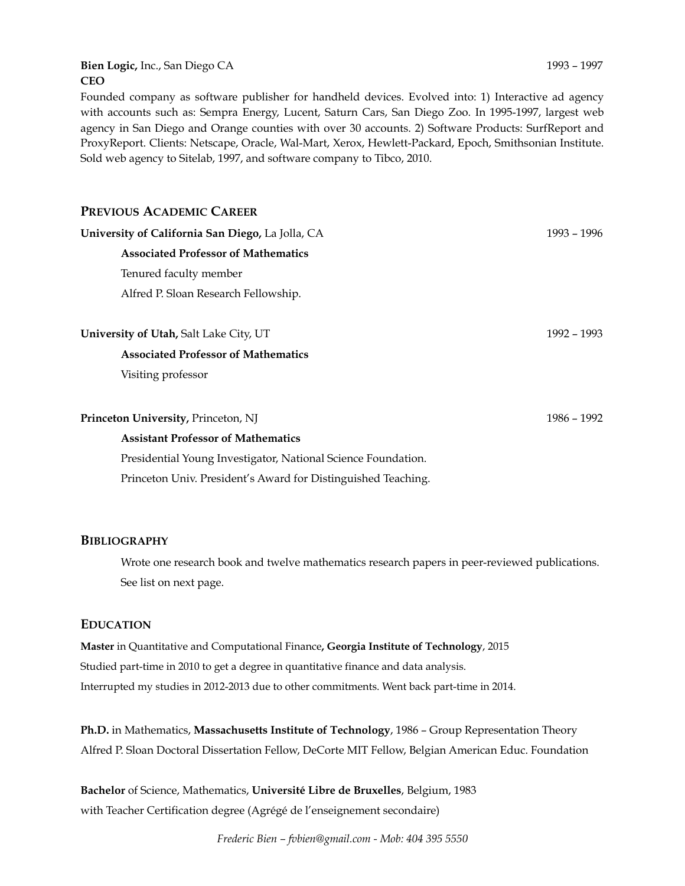#### **Bien Logic, Inc., San Diego CA** 1993 – 1997 **CEO**

Founded company as software publisher for handheld devices. Evolved into: 1) Interactive ad agency with accounts such as: Sempra Energy, Lucent, Saturn Cars, San Diego Zoo. In 1995-1997, largest web agency in San Diego and Orange counties with over 30 accounts. 2) Software Products: SurfReport and ProxyReport. Clients: Netscape, Oracle, Wal-Mart, Xerox, Hewlett-Packard, Epoch, Smithsonian Institute. Sold web agency to Sitelab, 1997, and software company to Tibco, 2010.

| 1993 – 1996 |
|-------------|
|             |
|             |
|             |
|             |
| 1992 – 1993 |
|             |
|             |
|             |
| 1986 – 1992 |
|             |
|             |
|             |
|             |

#### **BIBLIOGRAPHY**

Wrote one research book and twelve mathematics research papers in peer-reviewed publications. See list on next page.

#### **EDUCATION**

**Master** in Quantitative and Computational Finance**, Georgia Institute of Technology**, 2015 Studied part-time in 2010 to get a degree in quantitative finance and data analysis. Interrupted my studies in 2012-2013 due to other commitments. Went back part-time in 2014.

**Ph.D.** in Mathematics, **Massachusetts Institute of Technology**, 1986 – Group Representation Theory Alfred P. Sloan Doctoral Dissertation Fellow, DeCorte MIT Fellow, Belgian American Educ. Foundation

**Bachelor** of Science, Mathematics, **Université Libre de Bruxelles**, Belgium, 1983 with Teacher Certification degree (Agrégé de l'enseignement secondaire)